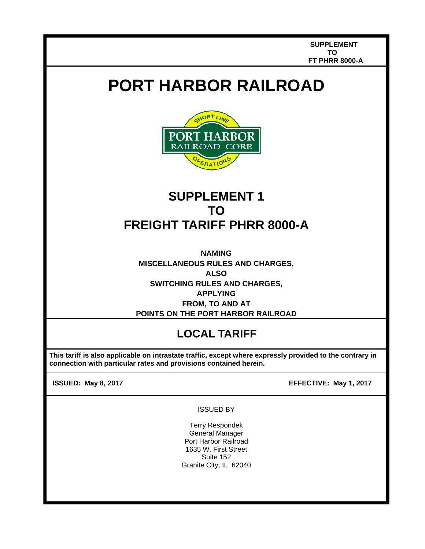## **PORT HARBOR RAILROAD**



## **SUPPLEMENT 1 TO FREIGHT TARIFF PHRR 8000-A**

**NAMING MISCELLANEOUS RULES AND CHARGES, ALSO SWITCHING RULES AND CHARGES, APPLYING FROM, TO AND AT POINTS ON THE PORT HARBOR RAILROAD** 

## **LOCAL TARIFF**

 **This tariff is also applicable on intrastate traffic, except where expressly provided to the contrary in connection with particular rates and provisions contained herein.** 

 $\overline{\phantom{a}}$ Ļ

**ISSUED: May 8, 2017 EFFECTIVE: May 1, 2017**

## ISSUED BY

Terry Respondek General Manager Port Harbor Railroad 1635 W. First Street Suite 152 Granite City, IL 62040